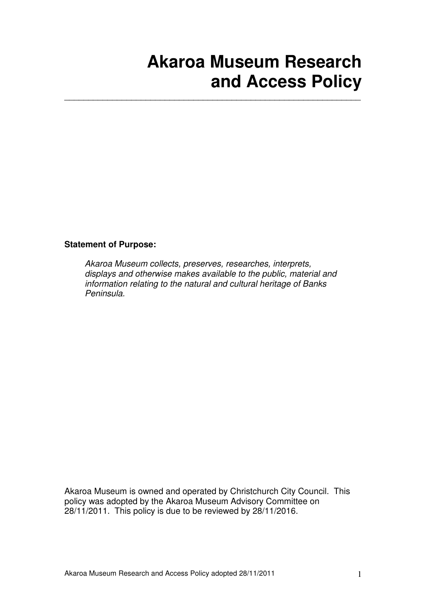# **Akaroa Museum Research and Access Policy**

#### **Statement of Purpose:**

Akaroa Museum collects, preserves, researches, interprets, displays and otherwise makes available to the public, material and information relating to the natural and cultural heritage of Banks Peninsula.

\_\_\_\_\_\_\_\_\_\_\_\_\_\_\_\_\_\_\_\_\_\_\_\_\_\_\_\_\_\_\_\_\_\_\_\_\_\_\_\_\_\_\_\_\_\_\_\_\_\_\_\_\_\_\_\_\_\_\_\_\_\_

Akaroa Museum is owned and operated by Christchurch City Council. This policy was adopted by the Akaroa Museum Advisory Committee on 28/11/2011. This policy is due to be reviewed by 28/11/2016.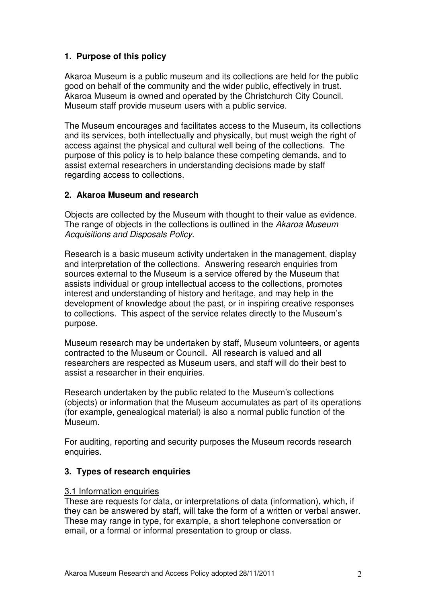# **1. Purpose of this policy**

Akaroa Museum is a public museum and its collections are held for the public good on behalf of the community and the wider public, effectively in trust. Akaroa Museum is owned and operated by the Christchurch City Council. Museum staff provide museum users with a public service.

The Museum encourages and facilitates access to the Museum, its collections and its services, both intellectually and physically, but must weigh the right of access against the physical and cultural well being of the collections. The purpose of this policy is to help balance these competing demands, and to assist external researchers in understanding decisions made by staff regarding access to collections.

#### **2. Akaroa Museum and research**

Objects are collected by the Museum with thought to their value as evidence. The range of objects in the collections is outlined in the Akaroa Museum Acquisitions and Disposals Policy.

Research is a basic museum activity undertaken in the management, display and interpretation of the collections. Answering research enquiries from sources external to the Museum is a service offered by the Museum that assists individual or group intellectual access to the collections, promotes interest and understanding of history and heritage, and may help in the development of knowledge about the past, or in inspiring creative responses to collections. This aspect of the service relates directly to the Museum's purpose.

Museum research may be undertaken by staff, Museum volunteers, or agents contracted to the Museum or Council. All research is valued and all researchers are respected as Museum users, and staff will do their best to assist a researcher in their enquiries.

Research undertaken by the public related to the Museum's collections (objects) or information that the Museum accumulates as part of its operations (for example, genealogical material) is also a normal public function of the Museum.

For auditing, reporting and security purposes the Museum records research enquiries.

# **3. Types of research enquiries**

#### 3.1 Information enquiries

These are requests for data, or interpretations of data (information), which, if they can be answered by staff, will take the form of a written or verbal answer. These may range in type, for example, a short telephone conversation or email, or a formal or informal presentation to group or class.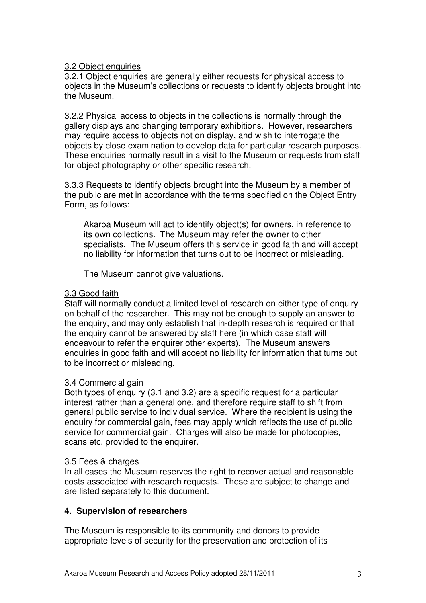#### 3.2 Object enquiries

3.2.1 Object enquiries are generally either requests for physical access to objects in the Museum's collections or requests to identify objects brought into the Museum.

3.2.2 Physical access to objects in the collections is normally through the gallery displays and changing temporary exhibitions. However, researchers may require access to objects not on display, and wish to interrogate the objects by close examination to develop data for particular research purposes. These enquiries normally result in a visit to the Museum or requests from staff for object photography or other specific research.

3.3.3 Requests to identify objects brought into the Museum by a member of the public are met in accordance with the terms specified on the Object Entry Form, as follows:

Akaroa Museum will act to identify object(s) for owners, in reference to its own collections. The Museum may refer the owner to other specialists. The Museum offers this service in good faith and will accept no liability for information that turns out to be incorrect or misleading.

The Museum cannot give valuations.

#### 3.3 Good faith

Staff will normally conduct a limited level of research on either type of enquiry on behalf of the researcher. This may not be enough to supply an answer to the enquiry, and may only establish that in-depth research is required or that the enquiry cannot be answered by staff here (in which case staff will endeavour to refer the enquirer other experts). The Museum answers enquiries in good faith and will accept no liability for information that turns out to be incorrect or misleading.

#### 3.4 Commercial gain

Both types of enquiry (3.1 and 3.2) are a specific request for a particular interest rather than a general one, and therefore require staff to shift from general public service to individual service. Where the recipient is using the enquiry for commercial gain, fees may apply which reflects the use of public service for commercial gain. Charges will also be made for photocopies, scans etc. provided to the enquirer.

#### 3.5 Fees & charges

In all cases the Museum reserves the right to recover actual and reasonable costs associated with research requests. These are subject to change and are listed separately to this document.

# **4. Supervision of researchers**

The Museum is responsible to its community and donors to provide appropriate levels of security for the preservation and protection of its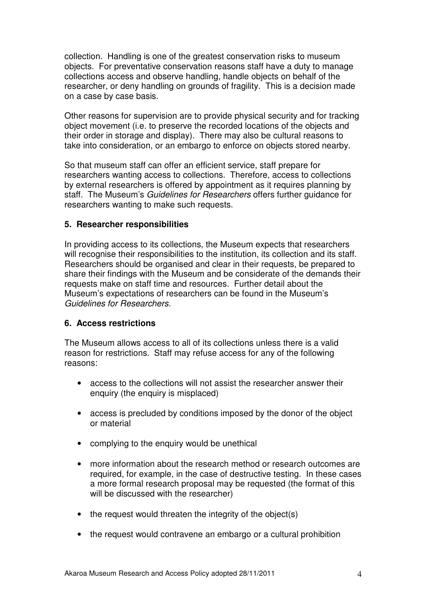collection. Handling is one of the greatest conservation risks to museum objects. For preventative conservation reasons staff have a duty to manage collections access and observe handling, handle objects on behalf of the researcher, or deny handling on grounds of fragility. This is a decision made on a case by case basis.

Other reasons for supervision are to provide physical security and for tracking object movement (i.e. to preserve the recorded locations of the objects and their order in storage and display). There may also be cultural reasons to take into consideration, or an embargo to enforce on objects stored nearby.

So that museum staff can offer an efficient service, staff prepare for researchers wanting access to collections. Therefore, access to collections by external researchers is offered by appointment as it requires planning by staff. The Museum's Guidelines for Researchers offers further quidance for researchers wanting to make such requests.

#### **5. Researcher responsibilities**

In providing access to its collections, the Museum expects that researchers will recognise their responsibilities to the institution, its collection and its staff. Researchers should be organised and clear in their requests, be prepared to share their findings with the Museum and be considerate of the demands their requests make on staff time and resources. Further detail about the Museum's expectations of researchers can be found in the Museum's Guidelines for Researchers.

#### **6. Access restrictions**

The Museum allows access to all of its collections unless there is a valid reason for restrictions. Staff may refuse access for any of the following reasons:

- access to the collections will not assist the researcher answer their enquiry (the enquiry is misplaced)
- access is precluded by conditions imposed by the donor of the object or material
- complying to the enquiry would be unethical
- more information about the research method or research outcomes are required, for example, in the case of destructive testing. In these cases a more formal research proposal may be requested (the format of this will be discussed with the researcher)
- the request would threaten the integrity of the object(s)
- the request would contravene an embargo or a cultural prohibition